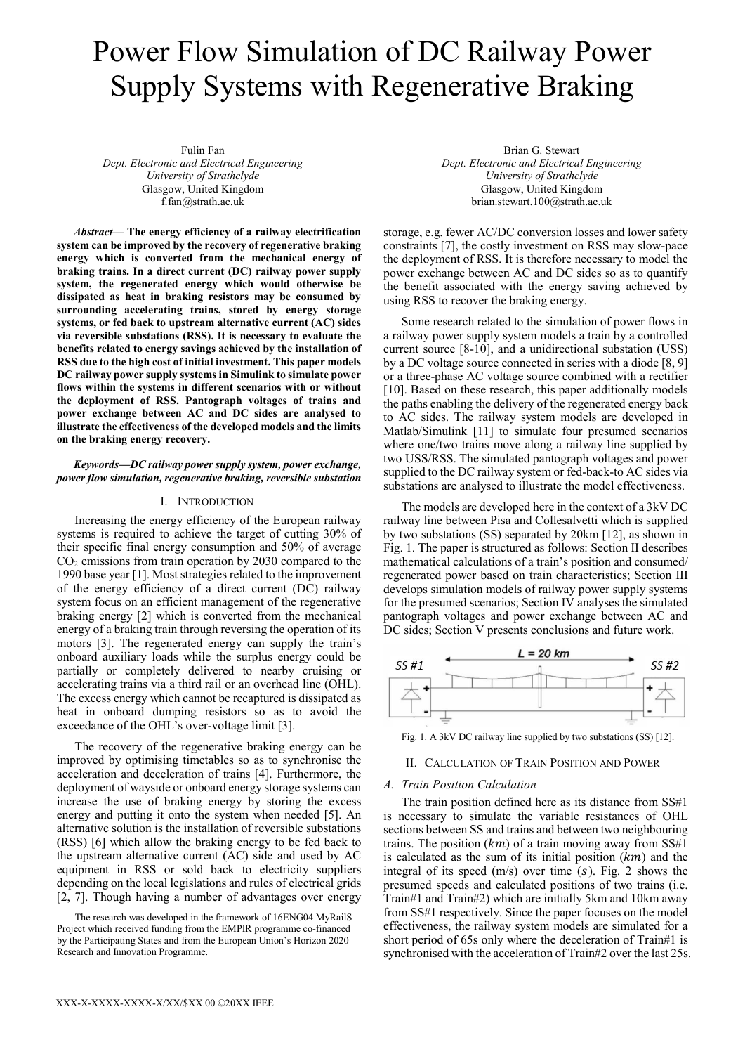# Power Flow Simulation of DC Railway Power Supply Systems with Regenerative Braking

Fulin Fan *Dept. Electronic and Electrical Engineering University of Strathclyde*  Glasgow, United Kingdom f.fan@strath.ac.uk

*Abstract***— The energy efficiency of a railway electrification system can be improved by the recovery of regenerative braking energy which is converted from the mechanical energy of braking trains. In a direct current (DC) railway power supply system, the regenerated energy which would otherwise be dissipated as heat in braking resistors may be consumed by surrounding accelerating trains, stored by energy storage systems, or fed back to upstream alternative current (AC) sides via reversible substations (RSS). It is necessary to evaluate the benefits related to energy savings achieved by the installation of RSS due to the high cost of initial investment. This paper models DC railway power supply systems in Simulink to simulate power flows within the systems in different scenarios with or without the deployment of RSS. Pantograph voltages of trains and power exchange between AC and DC sides are analysed to illustrate the effectiveness of the developed models and the limits on the braking energy recovery.**

*Keywords—DC railway power supply system, power exchange, power flow simulation, regenerative braking, reversible substation* 

# I. INTRODUCTION

Increasing the energy efficiency of the European railway systems is required to achieve the target of cutting 30% of their specific final energy consumption and 50% of average CO2 emissions from train operation by 2030 compared to the 1990 base year [1]. Most strategies related to the improvement of the energy efficiency of a direct current (DC) railway system focus on an efficient management of the regenerative braking energy [2] which is converted from the mechanical energy of a braking train through reversing the operation of its motors [3]. The regenerated energy can supply the train's onboard auxiliary loads while the surplus energy could be partially or completely delivered to nearby cruising or accelerating trains via a third rail or an overhead line (OHL). The excess energy which cannot be recaptured is dissipated as heat in onboard dumping resistors so as to avoid the exceedance of the OHL's over-voltage limit [3].

The recovery of the regenerative braking energy can be improved by optimising timetables so as to synchronise the acceleration and deceleration of trains [4]. Furthermore, the deployment of wayside or onboard energy storage systems can increase the use of braking energy by storing the excess energy and putting it onto the system when needed [5]. An alternative solution is the installation of reversible substations (RSS) [6] which allow the braking energy to be fed back to the upstream alternative current (AC) side and used by AC equipment in RSS or sold back to electricity suppliers depending on the local legislations and rules of electrical grids [2, 7]. Though having a number of advantages over energy

Brian G. Stewart *Dept. Electronic and Electrical Engineering University of Strathclyde*  Glasgow, United Kingdom brian.stewart.100@strath.ac.uk

storage, e.g. fewer AC/DC conversion losses and lower safety constraints [7], the costly investment on RSS may slow-pace the deployment of RSS. It is therefore necessary to model the power exchange between AC and DC sides so as to quantify the benefit associated with the energy saving achieved by using RSS to recover the braking energy.

Some research related to the simulation of power flows in a railway power supply system models a train by a controlled current source [8-10], and a unidirectional substation (USS) by a DC voltage source connected in series with a diode [8, 9] or a three-phase AC voltage source combined with a rectifier [10]. Based on these research, this paper additionally models the paths enabling the delivery of the regenerated energy back to AC sides. The railway system models are developed in Matlab/Simulink [11] to simulate four presumed scenarios where one/two trains move along a railway line supplied by two USS/RSS. The simulated pantograph voltages and power supplied to the DC railway system or fed-back-to AC sides via substations are analysed to illustrate the model effectiveness.

The models are developed here in the context of a 3kV DC railway line between Pisa and Collesalvetti which is supplied by two substations (SS) separated by 20km [12], as shown in Fig. 1. The paper is structured as follows: Section II describes mathematical calculations of a train's position and consumed/ regenerated power based on train characteristics; Section III develops simulation models of railway power supply systems for the presumed scenarios; Section IV analyses the simulated pantograph voltages and power exchange between AC and DC sides; Section V presents conclusions and future work.



Fig. 1. A 3kV DC railway line supplied by two substations (SS) [12].

# II. CALCULATION OF TRAIN POSITION AND POWER

## *A. Train Position Calculation*

The train position defined here as its distance from SS#1 is necessary to simulate the variable resistances of OHL sections between SS and trains and between two neighbouring trains. The position  $(km)$  of a train moving away from SS#1 is calculated as the sum of its initial position  $(km)$  and the integral of its speed  $(m/s)$  over time  $(s)$ . Fig. 2 shows the presumed speeds and calculated positions of two trains (i.e. Train#1 and Train#2) which are initially 5km and 10km away from SS#1 respectively. Since the paper focuses on the model effectiveness, the railway system models are simulated for a short period of 65s only where the deceleration of Train#1 is synchronised with the acceleration of Train#2 over the last 25s.

The research was developed in the framework of 16ENG04 MyRailS Project which received funding from the EMPIR programme co-financed by the Participating States and from the European Union's Horizon 2020 Research and Innovation Programme.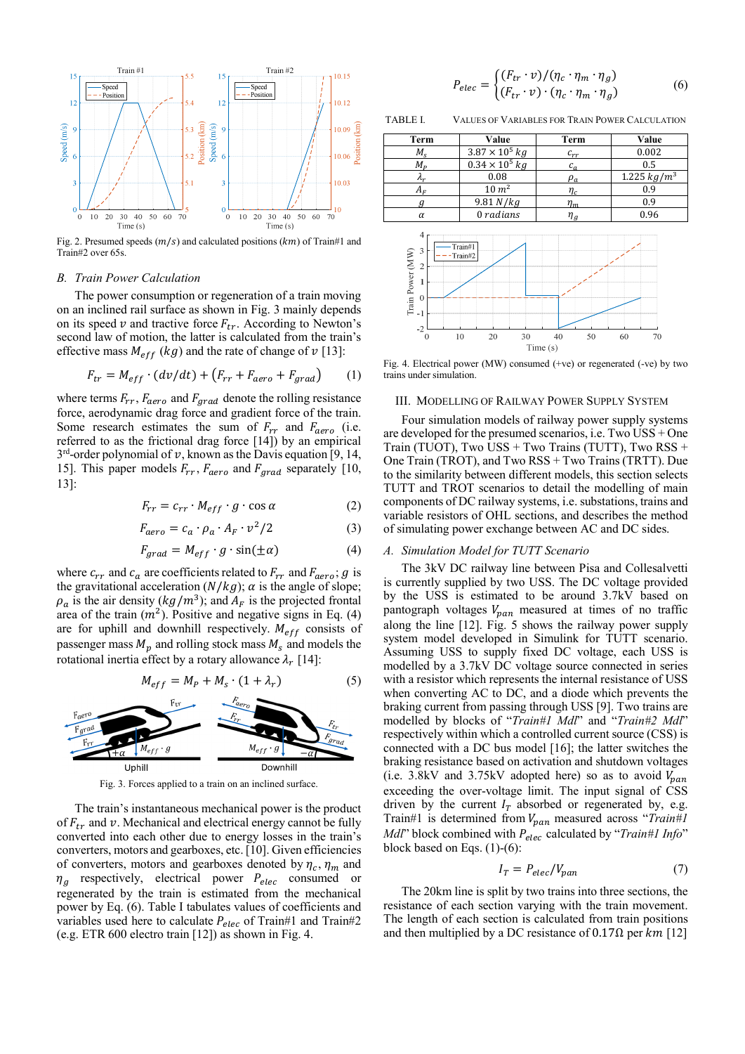

Fig. 2. Presumed speeds  $(m/s)$  and calculated positions  $(km)$  of Train#1 and Train#2 over 65s.

## *B. Train Power Calculation*

The power consumption or regeneration of a train moving on an inclined rail surface as shown in Fig. 3 mainly depends on its speed  $v$  and tractive force  $F_{tr}$ . According to Newton's second law of motion, the latter is calculated from the train's effective mass  $M_{eff}$  (kg) and the rate of change of  $\nu$  [13]:

$$
F_{tr} = M_{eff} \cdot (dv/dt) + (F_{rr} + F_{aero} + F_{grad}) \tag{1}
$$

where terms  $F_{rr}$ ,  $F_{aero}$  and  $F_{grad}$  denote the rolling resistance force, aerodynamic drag force and gradient force of the train. Some research estimates the sum of  $F_{rr}$  and  $F_{aero}$  (i.e. referred to as the frictional drag force [14]) by an empirical  $3<sup>rd</sup>$ -order polynomial of  $v$ , known as the Davis equation [9, 14, 15]. This paper models  $F_{rr}$ ,  $F_{aero}$  and  $F_{grad}$  separately [10, 13]:

$$
F_{rr} = c_{rr} \cdot M_{eff} \cdot g \cdot \cos \alpha \tag{2}
$$

$$
F_{aero} = c_a \cdot \rho_a \cdot A_F \cdot v^2 / 2 \tag{3}
$$

$$
F_{grad} = M_{eff} \cdot g \cdot \sin(\pm \alpha) \tag{4}
$$

where  $c_{rr}$  and  $c_a$  are coefficients related to  $F_{rr}$  and  $F_{aero}$ ; g is the gravitational acceleration  $(N/kg)$ ;  $\alpha$  is the angle of slope;  $\rho_a$  is the air density ( $kg/m^3$ ); and  $A_F$  is the projected frontal area of the train  $(m<sup>2</sup>)$ . Positive and negative signs in Eq. (4) are for uphill and downhill respectively.  $M_{eff}$  consists of passenger mass  $M_p$  and rolling stock mass  $M_s$  and models the rotational inertia effect by a rotary allowance  $\lambda_r$  [14]:

$$
M_{eff} = M_P + M_S \cdot (1 + \lambda_r) \tag{5}
$$



Fig. 3. Forces applied to a train on an inclined surface.

The train's instantaneous mechanical power is the product of  $F_{tr}$  and  $v$ . Mechanical and electrical energy cannot be fully converted into each other due to energy losses in the train's converters, motors and gearboxes, etc. [10]. Given efficiencies of converters, motors and gearboxes denoted by  $\eta_c$ ,  $\eta_m$  and  $\eta_g$  respectively, electrical power  $P_{elec}$  consumed or regenerated by the train is estimated from the mechanical power by Eq. (6). Table I tabulates values of coefficients and variables used here to calculate  $P_{elec}$  of Train#1 and Train#2 (e.g. ETR 600 electro train [12]) as shown in Fig. 4.

$$
P_{elec} = \begin{cases} (F_{tr} \cdot v) / (\eta_c \cdot \eta_m \cdot \eta_g) \\ (F_{tr} \cdot v) \cdot (\eta_c \cdot \eta_m \cdot \eta_g) \end{cases}
$$
 (6)

TABLE I. VALUES OF VARIABLES FOR TRAIN POWER CALCULATION



Fig. 4. Electrical power (MW) consumed (+ve) or regenerated (-ve) by two trains under simulation.

#### III. MODELLING OF RAILWAY POWER SUPPLY SYSTEM

Four simulation models of railway power supply systems are developed for the presumed scenarios, i.e. Two USS + One Train (TUOT), Two USS  $+$  Two Trains (TUTT), Two RSS  $+$ One Train (TROT), and Two RSS + Two Trains (TRTT). Due to the similarity between different models, this section selects TUTT and TROT scenarios to detail the modelling of main components of DC railway systems, i.e. substations, trains and variable resistors of OHL sections, and describes the method of simulating power exchange between AC and DC sides.

#### *A. Simulation Model for TUTT Scenario*

The 3kV DC railway line between Pisa and Collesalvetti is currently supplied by two USS. The DC voltage provided by the USS is estimated to be around 3.7kV based on pantograph voltages  $V_{pan}$  measured at times of no traffic along the line [12]. Fig. 5 shows the railway power supply system model developed in Simulink for TUTT scenario. Assuming USS to supply fixed DC voltage, each USS is modelled by a 3.7kV DC voltage source connected in series with a resistor which represents the internal resistance of USS when converting AC to DC, and a diode which prevents the braking current from passing through USS [9]. Two trains are modelled by blocks of "*Train#1 Mdl*" and "*Train#2 Mdl*" respectively within which a controlled current source (CSS) is connected with a DC bus model [16]; the latter switches the braking resistance based on activation and shutdown voltages (i.e. 3.8kV and 3.75kV adopted here) so as to avoid  $V_{nan}$ exceeding the over-voltage limit. The input signal of CSS driven by the current  $I_T$  absorbed or regenerated by, e.g. Train#1 is determined from  $V_{pan}$  measured across "*Train#1 Mdl*" block combined with  $P_{elec}$  calculated by "*Train#1 Info*" block based on Eqs. (1)-(6): Fig. 4. Electrical power (MW) consumed (+ee) or experiented (+ee) by two trains under simulation.<br>
The 4. Electrical power (MW) consumed (+ee) or regenerated (+ee) by two trains under simulation.<br>
HDI. MODELLING OF RAIL

$$
I_T = P_{elec}/V_{pan} \tag{7}
$$

The 20km line is split by two trains into three sections, the resistance of each section varying with the train movement. The length of each section is calculated from train positions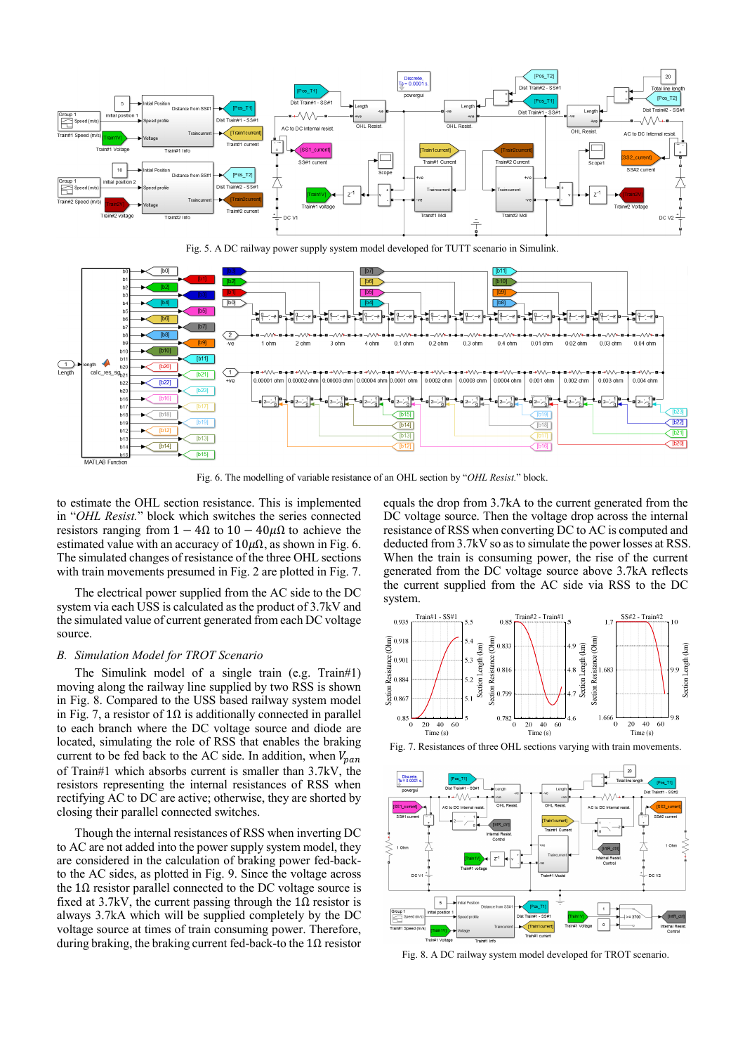

Fig. 5. A DC railway power supply system model developed for TUTT scenario in Simulink.



Fig. 6. The modelling of variable resistance of an OHL section by "*OHL Resist.*" block.

to estimate the OHL section resistance. This is implemented in "*OHL Resist.*" block which switches the series connected resistors ranging from  $1 - 4Ω$  to  $10 - 40μΩ$  to achieve the estimated value with an accuracy of  $10\mu\Omega$ , as shown in Fig. 6. The simulated changes of resistance of the three OHL sections with train movements presumed in Fig. 2 are plotted in Fig. 7.

The electrical power supplied from the AC side to the DC system via each USS is calculated as the product of 3.7kV and the simulated value of current generated from each DC voltage source.

#### *B. Simulation Model for TROT Scenario*

The Simulink model of a single train (e.g. Train#1) moving along the railway line supplied by two RSS is shown in Fig. 8. Compared to the USS based railway system model in Fig. 7, a resistor of 1Ω is additionally connected in parallel to each branch where the DC voltage source and diode are located, simulating the role of RSS that enables the braking current to be fed back to the AC side. In addition, when  $V_{pan}$ of Train#1 which absorbs current is smaller than 3.7kV, the resistors representing the internal resistances of RSS when rectifying AC to DC are active; otherwise, they are shorted by closing their parallel connected switches.

Though the internal resistances of RSS when inverting DC to AC are not added into the power supply system model, they are considered in the calculation of braking power fed-backto the AC sides, as plotted in Fig. 9. Since the voltage across the  $1\Omega$  resistor parallel connected to the DC voltage source is fixed at 3.7kV, the current passing through the  $1\Omega$  resistor is always 3.7kA which will be supplied completely by the DC voltage source at times of train consuming power. Therefore, during braking, the braking current fed-back-to the  $1\Omega$  resistor

equals the drop from 3.7kA to the current generated from the DC voltage source. Then the voltage drop across the internal resistance of RSS when converting DC to AC is computed and deducted from 3.7kV so as to simulate the power losses at RSS. When the train is consuming power, the rise of the current generated from the DC voltage source above 3.7kA reflects the current supplied from the AC side via RSS to the DC system.



Fig. 7. Resistances of three OHL sections varying with train movements.



Fig. 8. A DC railway system model developed for TROT scenario.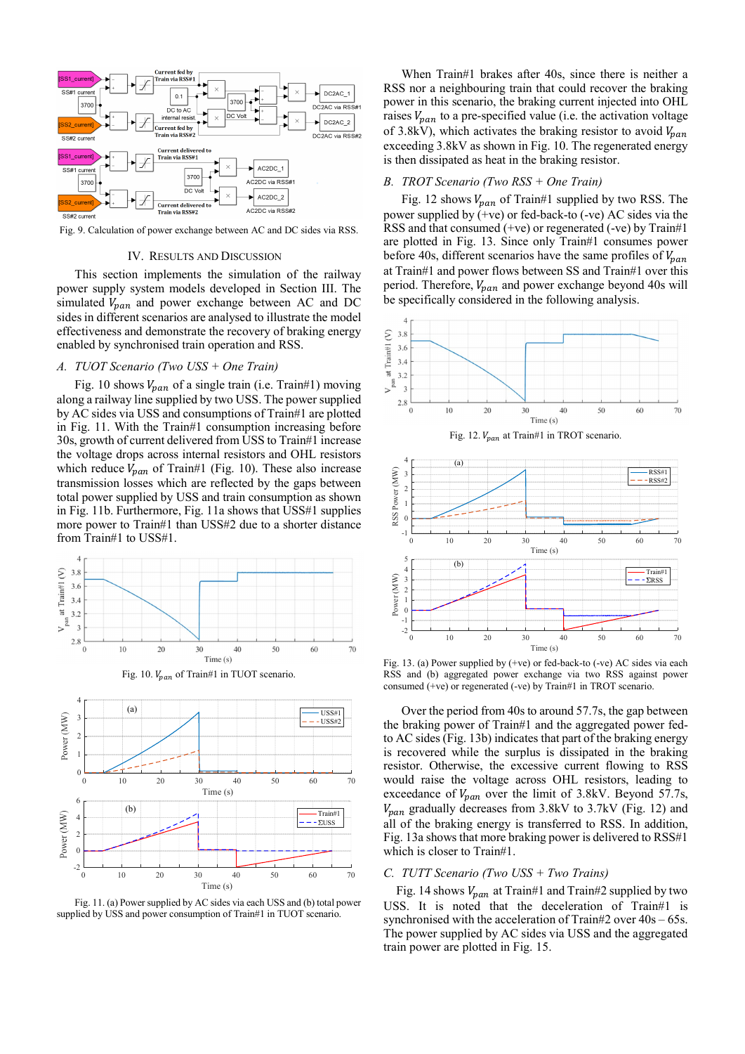

Fig. 9. Calculation of power exchange between AC and DC sides via RSS.

#### IV. RESULTS AND DISCUSSION

This section implements the simulation of the railway power supply system models developed in Section III. The simulated  $V_{pan}$  and power exchange between AC and DC sides in different scenarios are analysed to illustrate the model effectiveness and demonstrate the recovery of braking energy enabled by synchronised train operation and RSS.

## *A. TUOT Scenario (Two USS + One Train)*

Fig. 10 shows  $V_{pan}$  of a single train (i.e. Train#1) moving along a railway line supplied by two USS. The power supplied by AC sides via USS and consumptions of Train#1 are plotted in Fig. 11. With the Train#1 consumption increasing before 30s, growth of current delivered from USS to Train#1 increase the voltage drops across internal resistors and OHL resistors which reduce  $V_{pan}$  of Train#1 (Fig. 10). These also increase transmission losses which are reflected by the gaps between total power supplied by USS and train consumption as shown in Fig. 11b. Furthermore, Fig. 11a shows that USS#1 supplies more power to Train#1 than USS#2 due to a shorter distance from Train#1 to USS#1.



Fig. 11. (a) Power supplied by AC sides via each USS and (b) total power supplied by USS and power consumption of Train#1 in TUOT scenario.

When Train#1 brakes after 40s, since there is neither a RSS nor a neighbouring train that could recover the braking power in this scenario, the braking current injected into OHL raises  $V_{pan}$  to a pre-specified value (i.e. the activation voltage of 3.8kV), which activates the braking resistor to avoid  $V_{pan}$ exceeding 3.8kV as shown in Fig. 10. The regenerated energy is then dissipated as heat in the braking resistor.

# *B. TROT Scenario (Two RSS + One Train)*

Fig. 12 shows  $V_{pan}$  of Train#1 supplied by two RSS. The power supplied by  $(+ve)$  or fed-back-to  $(-ve)$  AC sides via the RSS and that consumed (+ve) or regenerated (-ve) by Train#1 are plotted in Fig. 13. Since only Train#1 consumes power before 40s, different scenarios have the same profiles of  $V_{pan}$ at Train#1 and power flows between SS and Train#1 over this period. Therefore,  $V_{pan}$  and power exchange beyond 40s will be specifically considered in the following analysis.



Fig. 13. (a) Power supplied by (+ve) or fed-back-to (-ve) AC sides via each RSS and (b) aggregated power exchange via two RSS against power consumed (+ve) or regenerated (-ve) by Train#1 in TROT scenario.

Over the period from 40s to around 57.7s, the gap between the braking power of Train#1 and the aggregated power fedto AC sides (Fig. 13b) indicates that part of the braking energy is recovered while the surplus is dissipated in the braking resistor. Otherwise, the excessive current flowing to RSS would raise the voltage across OHL resistors, leading to exceedance of  $V_{pan}$  over the limit of 3.8kV. Beyond 57.7s,  $V_{nan}$  gradually decreases from 3.8kV to 3.7kV (Fig. 12) and all of the braking energy is transferred to RSS. In addition, Fig. 13a shows that more braking power is delivered to RSS#1 which is closer to Train#1.

## *C. TUTT Scenario (Two USS + Two Trains)*

Fig. 14 shows  $V_{pan}$  at Train#1 and Train#2 supplied by two USS. It is noted that the deceleration of Train#1 is synchronised with the acceleration of Train#2 over 40s – 65s. The power supplied by AC sides via USS and the aggregated train power are plotted in Fig. 15.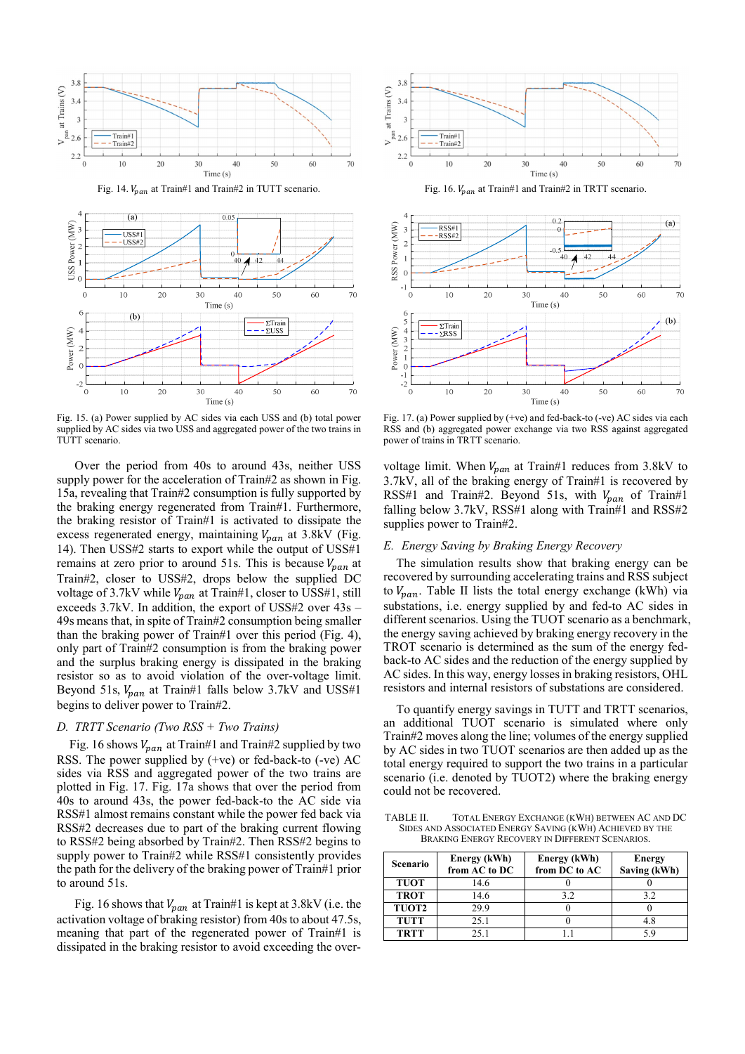



Fig. 15. (a) Power supplied by AC sides via each USS and (b) total power supplied by AC sides via two USS and aggregated power of the two trains in TUTT scenario.

Over the period from 40s to around 43s, neither USS supply power for the acceleration of Train#2 as shown in Fig. 15a, revealing that Train#2 consumption is fully supported by the braking energy regenerated from Train#1. Furthermore, the braking resistor of Train#1 is activated to dissipate the excess regenerated energy, maintaining  $V_{pan}$  at 3.8kV (Fig. 14). Then USS#2 starts to export while the output of USS#1 remains at zero prior to around 51s. This is because  $V_{pan}$  at Train#2, closer to USS#2, drops below the supplied DC voltage of 3.7kV while  $V_{nan}$  at Train#1, closer to USS#1, still exceeds 3.7kV. In addition, the export of USS#2 over 43s – 49s means that, in spite of Train#2 consumption being smaller than the braking power of Train#1 over this period (Fig. 4), only part of Train#2 consumption is from the braking power and the surplus braking energy is dissipated in the braking resistor so as to avoid violation of the over-voltage limit. Beyond 51s,  $V_{pan}$  at Train#1 falls below 3.7kV and USS#1 begins to deliver power to Train#2.

# *D. TRTT Scenario (Two RSS + Two Trains)*

Fig. 16 shows  $V_{pan}$  at Train#1 and Train#2 supplied by two RSS. The power supplied by (+ve) or fed-back-to (-ve) AC sides via RSS and aggregated power of the two trains are plotted in Fig. 17. Fig. 17a shows that over the period from 40s to around 43s, the power fed-back-to the AC side via RSS#1 almost remains constant while the power fed back via RSS#2 decreases due to part of the braking current flowing to RSS#2 being absorbed by Train#2. Then RSS#2 begins to supply power to Train#2 while RSS#1 consistently provides the path for the delivery of the braking power of Train#1 prior to around 51s.

Fig. 16 shows that  $V_{pan}$  at Train#1 is kept at 3.8kV (i.e. the activation voltage of braking resistor) from 40s to about 47.5s, meaning that part of the regenerated power of Train#1 is dissipated in the braking resistor to avoid exceeding the over-



Fig. 16.  $V_{pan}$  at Train#1 and Train#2 in TRTT scenario.



Fig. 17. (a) Power supplied by (+ve) and fed-back-to (-ve) AC sides via each RSS and (b) aggregated power exchange via two RSS against aggregated power of trains in TRTT scenario.

voltage limit. When  $V_{pan}$  at Train#1 reduces from 3.8kV to 3.7kV, all of the braking energy of Train#1 is recovered by RSS#1 and Train#2. Beyond 51s, with  $V_{pan}$  of Train#1 falling below 3.7kV, RSS#1 along with Train#1 and RSS#2 supplies power to Train#2.

# *E. Energy Saving by Braking Energy Recovery*

The simulation results show that braking energy can be recovered by surrounding accelerating trains and RSS subject to  $V_{pan}$ . Table II lists the total energy exchange (kWh) via substations, i.e. energy supplied by and fed-to AC sides in different scenarios. Using the TUOT scenario as a benchmark, the energy saving achieved by braking energy recovery in the TROT scenario is determined as the sum of the energy fedback-to AC sides and the reduction of the energy supplied by AC sides. In this way, energy losses in braking resistors, OHL resistors and internal resistors of substations are considered.

To quantify energy savings in TUTT and TRTT scenarios, an additional TUOT scenario is simulated where only Train#2 moves along the line; volumes of the energy supplied by AC sides in two TUOT scenarios are then added up as the total energy required to support the two trains in a particular scenario (i.e. denoted by TUOT2) where the braking energy could not be recovered.

TABLE II. TOTAL ENERGY EXCHANGE (KWH) BETWEEN AC AND DC SIDES AND ASSOCIATED ENERGY SAVING (KWH) ACHIEVED BY THE BRAKING ENERGY RECOVERY IN DIFFERENT SCENARIOS.

| <b>Scenario</b> | Energy (kWh)<br>from AC to DC | Energy (kWh)<br>from DC to AC | <b>Energy</b><br>Saving (kWh) |
|-----------------|-------------------------------|-------------------------------|-------------------------------|
| <b>TUOT</b>     | 14.6                          |                               |                               |
| <b>TROT</b>     | 14.6                          | 32                            | 32                            |
| <b>TUOT2</b>    | 29.9                          |                               |                               |
| <b>TUTT</b>     | 25.1                          |                               |                               |
| <b>TRTT</b>     | 25.1                          |                               |                               |